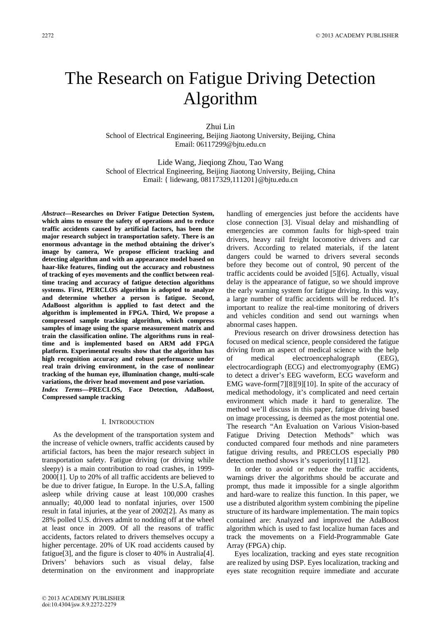# The Research on Fatigue Driving Detection Algorithm

Zhui Lin

School of Electrical Engineering, Beijing Jiaotong University, Beijing, China Email: 06117299@bjtu.edu.cn

Lide Wang, Jieqiong Zhou, Tao Wang School of Electrical Engineering, Beijing Jiaotong University, Beijing, China Email: { lidewang, 08117329,111201}@bjtu.edu.cn

*Abstract***—Researches on Driver Fatigue Detection System, which aims to ensure the safety of operations and to reduce traffic accidents caused by artificial factors, has been the major research subject in transportation safety. There is an enormous advantage in the method obtaining the driver's image by camera, We propose efficient tracking and detecting algorithm and with an appearance model based on haar-like features, finding out the accuracy and robustness of tracking of eyes movements and the conflict between realtime tracing and accuracy of fatigue detection algorithms systems. First, PERCLOS algorithm is adopted to analyze and determine whether a person is fatigue. Second, AdaBoost algorithm is applied to fast detect and the algorithm is implemented in FPGA. Third, We propose a compressed sample tracking algorithm, which compress samples of image using the sparse measurement matrix and train the classification online. The algorithms runs in realtime and is implemented based on ARM add FPGA platform. Experimental results show that the algorithm has high recognition accuracy and robust performance under real train driving environment, in the case of nonlinear tracking of the human eye, illumination change, multi-scale variations, the driver head movement and pose variation.**  *Index Terms***—PRECLOS, Face Detection, AdaBoost,** 

**Compressed sample tracking** 

#### I. INTRODUCTION

As the development of the transportation system and the increase of vehicle owners, traffic accidents caused by artificial factors, has been the major research subject in transportation safety. Fatigue driving (or driving while sleepy) is a main contribution to road crashes, in 1999- 2000[1]. Up to 20% of all traffic accidents are believed to be due to driver fatigue, In Europe. In the U.S.A, falling asleep while driving cause at least 100,000 crashes annually; 40,000 lead to nonfatal injuries, over 1500 result in fatal injuries, at the year of 2002[2]. As many as 28% polled U.S. drivers admit to nodding off at the wheel at least once in 2009. Of all the reasons of traffic accidents, factors related to drivers themselves occupy a higher percentage. 20% of UK road accidents caused by fatigue[3], and the figure is closer to 40% in Australia[4]. Drivers' behaviors such as visual delay, false determination on the environment and inappropriate handling of emergencies just before the accidents have close connection [3]. Visual delay and mishandling of emergencies are common faults for high-speed train drivers, heavy rail freight locomotive drivers and car drivers. According to related materials, if the latent dangers could be warned to drivers several seconds before they become out of control, 90 percent of the traffic accidents could be avoided [5][6]. Actually, visual delay is the appearance of fatigue, so we should improve the early warning system for fatigue driving. In this way, a large number of traffic accidents will be reduced. It's important to realize the real-time monitoring of drivers and vehicles condition and send out warnings when abnormal cases happen.

Previous research on driver drowsiness detection has focused on medical science, people considered the fatigue driving from an aspect of medical science with the help medical electroencephalograph (EEG), electrocardiograph (ECG) and electromyography (EMG) to detect a driver's EEG waveform, ECG waveform and EMG wave-form[7][8][9][10]. In spite of the accuracy of medical methodology, it's complicated and need certain environment which made it hard to generalize. The method we'll discuss in this paper, fatigue driving based on image processing, is deemed as the most potential one. The research "An Evaluation on Various Vision-based Fatigue Driving Detection Methods" which was conducted compared four methods and nine parameters fatigue driving results, and PRECLOS especially P80 detection method shows it's superiority[11][12].

In order to avoid or reduce the traffic accidents, warnings driver the algorithms should be accurate and prompt, thus made it impossible for a single algorithm and hard-ware to realize this function. In this paper, we use a distributed algorithm system combining the pipeline structure of its hardware implementation. The main topics contained are: Analyzed and improved the AdaBoost algorithm which is used to fast localize human faces and track the movements on a Field-Programmable Gate Array (FPGA) chip.

Eyes localization, tracking and eyes state recognition are realized by using DSP. Eyes localization, tracking and eyes state recognition require immediate and accurate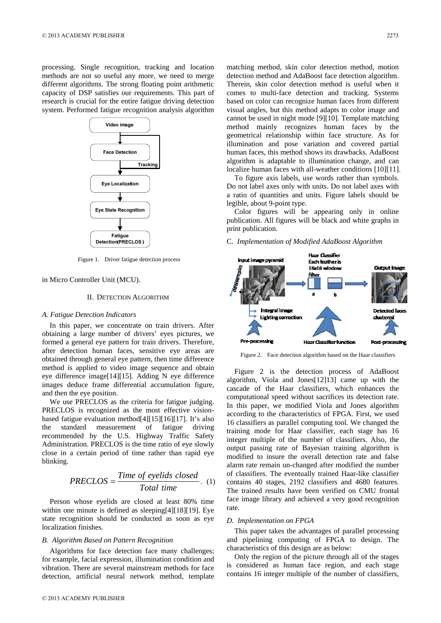processing. Single recognition, tracking and location methods are not so useful any more, we need to merge different algorithms. The strong floating point arithmetic capacity of DSP satisfies our requirements. This part of research is crucial for the entire fatigue driving detection system. Performed fatigue recognition analysis algorithm



Figure 1. Driver fatigue detection process

#### in Micro Controller Unit (MCU).

## II. DETECTION ALGORITHM

## *A. Fatigue Detection Indicators*

In this paper, we concentrate on train drivers. After obtaining a large number of drivers' eyes pictures, we formed a general eye pattern for train drivers. Therefore, after detection human faces, sensitive eye areas are obtained through general eye pattern, then time difference method is applied to video image sequence and obtain eye difference image[14][15]. Adding N eye difference images deduce frame differential accumulation figure, and then the eye position.

We use PRECLOS as the criteria for fatigue judging. PRECLOS is recognized as the most effective visionbased fatigue evaluation method[4][15][16][17]. It's also the standard measurement of fatigue driving recommended by the U.S. Highway Traffic Safety Administration. PRECLOS is the time ratio of eye slowly close in a certain period of time rather than rapid eye blinking.

$$
PRECLOS = \frac{Time\ of\ eyelids\ closed}{Total\ time}.
$$
 (1)

Person whose eyelids are closed at least 80% time within one minute is defined as sleeping[4][18][19]. Eye state recognition should be conducted as soon as eye localization finishes.

# *B. Algorithm Based on Pattern Recognition*

Algorithms for face detection face many challenges; for example, facial expression, illumination condition and vibration. There are several mainstream methods for face detection, artificial neural network method, template matching method, skin color detection method, motion detection method and AdaBoost face detection algorithm. Therein, skin color detection method is useful when it comes to multi-face detection and tracking. Systems based on color can recognize human faces from different visual angles, but this method adapts to color image and cannot be used in night mode [9][10]. Template matching method mainly recognizes human faces by the geometrical relationship within face structure. As for illumination and pose variation and covered partial human faces, this method shows its drawbacks. AdaBoost algorithm is adaptable to illumination change, and can localize human faces with all-weather conditions [10][11].

To figure axis labels, use words rather than symbols. Do not label axes only with units. Do not label axes with a ratio of quantities and units. Figure labels should be legible, about 9-point type.

Color figures will be appearing only in online publication. All figures will be black and white graphs in print publication.

## C*. Implementation of Modified AdaBoost Algorithm*



Figure 2. Face detection algorithm based on the Haar classifiers

Figure 2 is the detection process of AdaBoost algorithm, Viola and Jones[12]13] came up with the cascade of the Haar classifiers, which enhances the computational speed without sacrifices its detection rate. In this paper, we modified Viola and Jones algorithm according to the characteristics of FPGA. First, we used 16 classifiers as parallel computing tool. We changed the training mode for Haar classifier, each stage has 16 integer multiple of the number of classifiers. Also, the output passing rate of Bayesian training algorithm is modified to insure the overall detection rate and false alarm rate remain un-changed after modified the number of classifiers. The eventually trained Haar-like classifier contains 40 stages, 2192 classifiers and 4680 features. The trained results have been verified on CMU frontal face image library and achieved a very good recognition rate.

## *D. Implementation on FPGA*

This paper takes the advantages of parallel processing and pipelining computing of FPGA to design. The characteristics of this design are as below:

Only the region of the picture through all of the stages is considered as human face region, and each stage contains 16 integer multiple of the number of classifiers,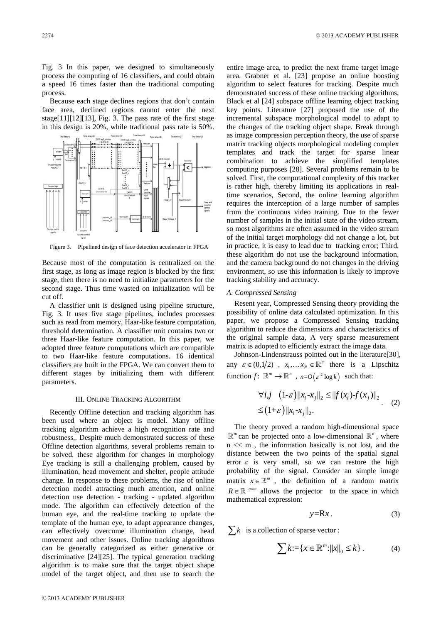Fig. 3 In this paper, we designed to simultaneously process the computing of 16 classifiers, and could obtain a speed 16 times faster than the traditional computing process.

Because each stage declines regions that don't contain face area, declined regions cannot enter the next stage[11][12][13], Fig. 3. The pass rate of the first stage in this design is 20%, while traditional pass rate is 50%.



Figure 3. Pipelined design of face detection accelerator in FPGA

Because most of the computation is centralized on the first stage, as long as image region is blocked by the first stage, then there is no need to initialize parameters for the second stage. Thus time wasted on initialization will be cut off.

A classifier unit is designed using pipeline structure, Fig. 3. It uses five stage pipelines, includes processes such as read from memory, Haar-like feature computation, threshold determination. A classifier unit contains two or three Haar-like feature computation. In this paper, we adopted three feature computations which are compatible to two Haar-like feature computations. 16 identical classifiers are built in the FPGA. We can convert them to different stages by initializing them with different parameters.

#### III. ONLINE TRACKING ALGORITHM

Recently Offline detection and tracking algorithm has been used where an object is model. Many offline tracking algorithm achieve a high recognition rate and robustness,. Despite much demonstrated success of these Offline detection algorithms, several problems remain to be solved. these algorithm for changes in morphology Eye tracking is still a challenging problem, caused by illumination, head movement and shelter, people attitude change. In response to these problems, the rise of online detection model attracting much attention, and online detection use detection - tracking - updated algorithm mode. The algorithm can effectively detection of the human eye, and the real-time tracking to update the template of the human eye, to adapt appearance changes, can effectively overcome illumination change, head movement and other issues. Online tracking algorithms can be generally categorized as either generative or discriminative [24][25]. The typical generation tracking algorithm is to make sure that the target object shape model of the target object, and then use to search the entire image area, to predict the next frame target image area. Grabner et al. [23] propose an online boosting algorithm to select features for tracking. Despite much demonstrated success of these online tracking algorithms, Black et al [24] subspace offline learning object tracking key points. Literature [27] proposed the use of the incremental subspace morphological model to adapt to the changes of the tracking object shape. Break through as image compression perception theory, the use of sparse matrix tracking objects morphological modeling complex templates and track the target for sparse linear combination to achieve the simplified templates computing purposes [28]. Several problems remain to be solved. First, the computational complexity of this tracker is rather high, thereby limiting its applications in realtime scenarios, Second, the online learning algorithm requires the interception of a large number of samples from the continuous video training. Due to the fewer number of samples in the initial state of the video stream, so most algorithms are often assumed in the video stream of the initial target morphology did not change a lot, but in practice, it is easy to lead due to tracking error; Third, these algorithm do not use the background information, and the camera background do not changes in the driving environment, so use this information is likely to improve tracking stability and accuracy.

## *A. Compressed Sensing*

Resent year, Compressed Sensing theory providing the possibility of online data calculated optimization. In this paper, we propose a Compressed Sensing tracking algorithm to reduce the dimensions and characteristics of the original sample data, A very sparse measurement matrix is adopted to efficiently extract the image data.

Johnson-Lindenstrauss pointed out in the literature[30], any  $\varepsilon \in (0,1/2)$ ,  $x_1,... x_N \in \mathbb{R}^m$  there is a Lipschitz function  $f: \ \mathbb{R}^m \to \mathbb{R}^n$ ,  $n = O(\varepsilon^2 \log k)$  such that:

$$
\forall i, j \quad (1-\varepsilon) ||x_i - x_j||_2 \le ||f(x_i) - f(x_j)||_2
$$
  
\n
$$
\le (1+\varepsilon) ||x_i - x_j||_2.
$$
 (2)

The theory proved a random high-dimensional space  $\mathbb{R}^m$  can be projected onto a low-dimensional  $\mathbb{R}^n$ , where  $n \ll m$ , the information basically is not lost, and the distance between the two points of the spatial signal error  $\varepsilon$  is very small, so we can restore the high probability of the signal. Consider an simple image matrix  $x \in \mathbb{R}^m$ , the definition of a random matrix  $R \in \mathbb{R}^{n \times m}$  allows the projector to the space in which mathematical expression:

$$
y=Rx.
$$
 (3)

 $\sum k$  is a collection of sparse vector :

$$
\sum k := \{ x \in \mathbb{R}^m : ||x||_0 \le k \} .
$$
 (4)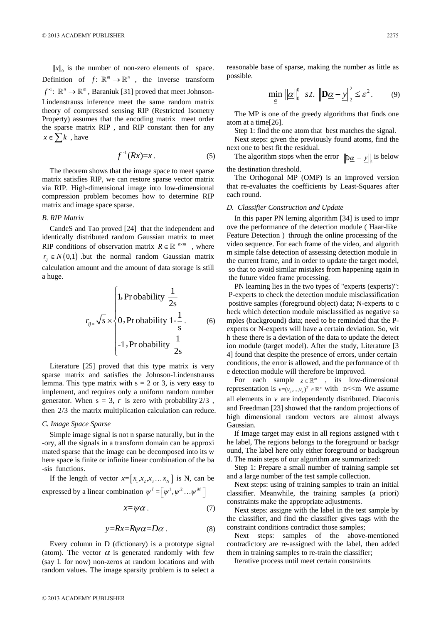$||x||_0$  is the number of non-zero elements of space. Definition of  $f: \mathbb{R}^m \to \mathbb{R}^n$ , the inverse transform  $f^{\perp}$ :  $\mathbb{R}^n \to \mathbb{R}^m$ . Baraniuk [31] proved that meet Johnson-Lindenstrauss inference meet the same random matrix theory of compressed sensing RIP (Restricted Isometry Property) assumes that the encoding matrix meet order the sparse matrix RIP , and RIP constant then for any  $x \in \sum k$ , have

$$
f^{-1}(Rx)=x\,. \tag{5}
$$

The theorem shows that the image space to meet sparse matrix satisfies RIP, we can restore sparse vector matrix via RIP. High-dimensional image into low-dimensional compression problem becomes how to determine RIP matrix and image space sparse.

## *B. RIP Matrix*

CandeS and Tao proved [24] that the independent and identically distributed random Gaussian matrix to meet RIP conditions of observation matrix  $R \in \mathbb{R}^{n \times m}$ , where  $r_{ii} \in N(0,1)$  but the normal random Gaussian matrix calculation amount and the amount of data storage is still a huge.

$$
r_{ij} = \sqrt{s} \times \begin{cases} 1, \text{Pr obability } \frac{1}{2s} \\ 0, \text{Pr obability } 1 - \frac{1}{s} \\ -1, \text{Pr obability } \frac{1}{2s} \end{cases}
$$
 (6)

Literature [25] proved that this type matrix is very sparse matrix and satisfies the Johnson-Lindenstrauss lemma. This type matrix with  $s = 2$  or 3, is very easy to implement, and requires only a uniform random number generator. When  $s = 3$ , *r* is zero with probability  $2/3$ , then 2/3 the matrix multiplication calculation can reduce.

#### *C. Image Space Sparse*

Simple image signal is not n sparse naturally, but in the -ory, all the signals in a transform domain can be approxi mated sparse that the image can be decomposed into its w here space is finite or infinite linear combination of the ba -sis functions.

If the length of vector  $x = [x_1, x_2, x_3 \dots x_N]$  is N, can be expressed by a linear combination  $\psi^T = \left[ \psi^1, \psi^2 \dots \psi^M \right]$ 

$$
x = \psi \alpha \tag{7}
$$

$$
y=Rx=R\psi\alpha=D\alpha\,.
$$
 (8)

Every column in D (dictionary) is a prototype signal (atom). The vector  $\alpha$  is generated randomly with few (say L for now) non-zeros at random locations and with random values. The image sparsity problem is to select a reasonable base of sparse, making the number as little as possible.

$$
\min_{\underline{\alpha}} \|\underline{\alpha}\|_{0}^{0} \quad s.t. \quad \left\|\mathbf{D}\underline{\alpha} - \underline{y}\right\|_{2}^{2} \leq \varepsilon^{2}. \tag{9}
$$

The MP is one of the greedy algorithms that finds one atom at a time[26].

Step 1: find the one atom that best matches the signal.

Next steps: given the previously found atoms, find the next one to best fit the residual.

The algorithm stops when the error  $\|\mathbf{D}\underline{\alpha} - \mathbf{y}\|_2$  is below the destination threshold.

The Orthogonal MP (OMP) is an improved version that re-evaluates the coefficients by Least-Squares after each round.

#### *D. Classifier Construction and Update*

In this paper PN lerning algorithm [34] is used to impr ove the performance of the detection module ( Haar-like Feature Detection ) through the online processing of the video sequence. For each frame of the video, and algorith m simple false detection of assessing detection module in the current frame, and in order to update the target model, so that to avoid similar mistakes from happening again in the future video frame processing.

PN learning lies in the two types of "experts (experts)": P-experts to check the detection module misclassification positive samples (foreground object) data; N-experts to c heck which detection module misclassified as negative sa mples (background) data; need to be reminded that the Pexperts or N-experts will have a certain deviation. So, wit h these there is a deviation of the data to update the detect ion module (target model). After the study, Literature [3 4] found that despite the presence of errors, under certain conditions, the error is allowed, and the performance of th e detection module will therefore be improved.

For each sample  $z \in \mathbb{R}^m$ , its low-dimensional representation is  $v=(v_1,...,v_n)^T \in \mathbb{R}^n$  with n <<m We assume all elements in  $\nu$  are independently distributed. Diaconis and Freedman [23] showed that the random projections of high dimensional random vectors are almost always Gaussian.

If Image target may exist in all regions assigned with t he label, The regions belongs to the foreground or backgr ound, The label here only either foreground or backgroun d. The main steps of our algorithm are summarized:

Step 1: Prepare a small number of training sample set and a large number of the test sample collection.

Next steps: using of training samples to train an initial classifier. Meanwhile, the training samples (a priori) constraints make the appropriate adjustments.

Next steps: assigne with the label in the test sample by the classifier, and find the classifier gives tags with the constraint conditions contradict those samples;

Next steps: samples of the above-mentioned contradictory are re-assigned with the label, then added them in training samples to re-train the classifier;

Iterative process until meet certain constraints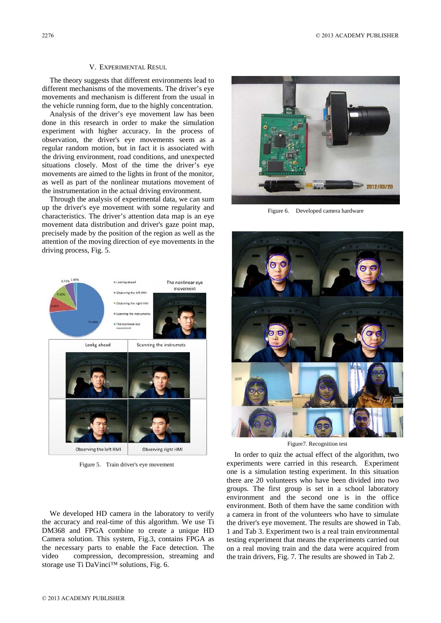#### V. EXPERIMENTAL RESUL

The theory suggests that different environments lead to different mechanisms of the movements. The driver's eye movements and mechanism is different from the usual in the vehicle running form, due to the highly concentration.

Analysis of the driver's eye movement law has been done in this research in order to make the simulation experiment with higher accuracy. In the process of observation, the driver's eye movements seem as a regular random motion, but in fact it is associated with the driving environment, road conditions, and unexpected situations closely. Most of the time the driver's eye movements are aimed to the lights in front of the monitor, as well as part of the nonlinear mutations movement of the instrumentation in the actual driving environment.

Through the analysis of experimental data, we can sum up the driver's eye movement with some regularity and characteristics. The driver's attention data map is an eye movement data distribution and driver's gaze point map, precisely made by the position of the region as well as the attention of the moving direction of eye movements in the driving process, Fig. 5.



Figure 5. Train driver's eye movement

We developed HD camera in the laboratory to verify the accuracy and real-time of this algorithm. We use Ti DM368 and FPGA combine to create a unique HD Camera solution. This system, Fig.3, contains FPGA as the necessary parts to enable the Face detection. The video compression, decompression, streaming and storage use Ti DaVinci™ solutions, Fig. 6.



Figure 6. Developed camera hardware



Figure7. Recognition test

In order to quiz the actual effect of the algorithm, two experiments were carried in this research. Experiment one is a simulation testing experiment. In this situation there are 20 volunteers who have been divided into two groups. The first group is set in a school laboratory environment and the second one is in the office environment. Both of them have the same condition with a camera in front of the volunteers who have to simulate the driver's eye movement. The results are showed in Tab. 1 and Tab 3. Experiment two is a real train environmental testing experiment that means the experiments carried out on a real moving train and the data were acquired from the train drivers, Fig. 7. The results are showed in Tab 2.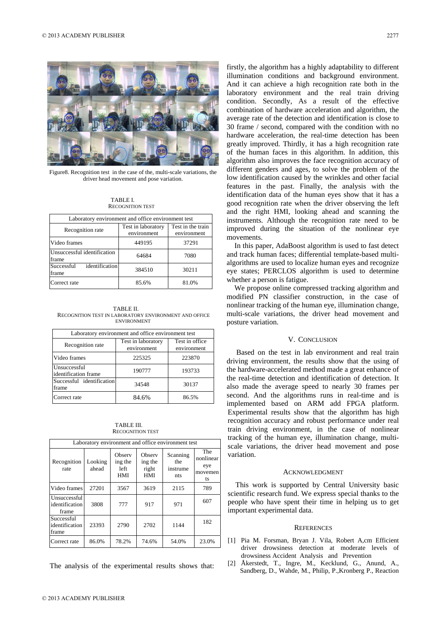

Figure8. Recognition test in the case of the, multi-scale variations, the driver head movement and pose variation.

TABLE I. RECOGNITION TEST

| Laboratory environment and office environment test |                                   |                                  |  |  |  |  |
|----------------------------------------------------|-----------------------------------|----------------------------------|--|--|--|--|
| Recognition rate                                   | Test in laboratory<br>environment | Test in the train<br>environment |  |  |  |  |
| Video frames                                       | 449195                            | 37291                            |  |  |  |  |
| Unsuccessful identification<br>frame               | 64684                             | 7080                             |  |  |  |  |
| identification<br>Successful<br>frame              | 384510                            | 30211                            |  |  |  |  |
| Correct rate                                       | 85.6%                             | 81.0%                            |  |  |  |  |

TABLE II. RECOGNITION TEST IN LABORATORY ENVIRONMENT AND OFFICE ENVIRONMENT

| Laboratory environment and office environment test |                                   |                               |  |  |  |  |  |
|----------------------------------------------------|-----------------------------------|-------------------------------|--|--|--|--|--|
| Recognition rate                                   | Test in laboratory<br>environment | Test in office<br>environment |  |  |  |  |  |
| Video frames                                       | 225325                            | 223870                        |  |  |  |  |  |
| Unsuccessful<br>identification frame               | 190777                            | 193733                        |  |  |  |  |  |
| Successful identification<br>frame                 | 34548                             | 30137                         |  |  |  |  |  |
| Correct rate                                       | 84.6%                             | 86.5%                         |  |  |  |  |  |

TABLE III. RECOGNITION TEST

| Laboratory environment and office environment test |                  |                                         |                                          |                                    |                                          |  |  |
|----------------------------------------------------|------------------|-----------------------------------------|------------------------------------------|------------------------------------|------------------------------------------|--|--|
| Recognition<br>rate                                | Looking<br>ahead | Observ<br>ing the<br>left<br><b>HMI</b> | Observ<br>ing the<br>right<br><b>HMI</b> | Scanning<br>the<br>instrume<br>nts | The<br>nonlinear<br>eye<br>movemen<br>ts |  |  |
| Video frames                                       | 27201            | 3567                                    | 3619                                     | 2115                               | 789                                      |  |  |
| Unsuccessful<br>identification<br>frame            | 3808             | 777                                     | 917                                      | 971                                | 607                                      |  |  |
| Successful<br>identification<br>frame              | 23393            | 2790                                    | 2702                                     | 1144                               | 182                                      |  |  |
| Correct rate                                       | 86.0%            | 78.2%                                   | 74.6%                                    | 54.0%                              | 23.0%                                    |  |  |

The analysis of the experimental results shows that:

firstly, the algorithm has a highly adaptability to different illumination conditions and background environment. And it can achieve a high recognition rate both in the laboratory environment and the real train driving condition. Secondly, As a result of the effective combination of hardware acceleration and algorithm, the average rate of the detection and identification is close to 30 frame / second, compared with the condition with no hardware acceleration, the real-time detection has been greatly improved. Thirdly, it has a high recognition rate of the human faces in this algorithm. In addition, this algorithm also improves the face recognition accuracy of different genders and ages, to solve the problem of the low identification caused by the wrinkles and other facial features in the past. Finally, the analysis with the identification data of the human eyes show that it has a good recognition rate when the driver observing the left and the right HMI, looking ahead and scanning the instruments. Although the recognition rate need to be improved during the situation of the nonlinear eye movements.

In this paper, AdaBoost algorithm is used to fast detect and track human faces; differential template-based multialgorithms are used to localize human eyes and recognize eye states; PERCLOS algorithm is used to determine whether a person is fatigue.

We propose online compressed tracking algorithm and modified PN classifier construction, in the case of nonlinear tracking of the human eye, illumination change, multi-scale variations, the driver head movement and posture variation.

## V. CONCLUSION

 Based on the test in lab environment and real train driving environment, the results show that the using of the hardware-accelerated method made a great enhance of the real-time detection and identification of detection. It also made the average speed to nearly 30 frames per second. And the algorithms runs in real-time and is implemented based on ARM add FPGA platform. Experimental results show that the algorithm has high recognition accuracy and robust performance under real train driving environment, in the case of nonlinear tracking of the human eye, illumination change, multiscale variations, the driver head movement and pose variation.

## ACKNOWLEDGMENT

This work is supported by Central University basic scientific research fund. We express special thanks to the people who have spent their time in helping us to get important experimental data.

#### **REFERENCES**

- [1] Pia M. Forsman, Bryan J. Vila, Robert A,cm Efficient driver drowsiness detection at moderate levels of drowsiness Accident Analysis and Prevention
- [2] Åkerstedt, T., Ingre, M., Kecklund, G., Anund, A., Sandberg, D., Wahde, M., Philip, P.,Kronberg P., Reaction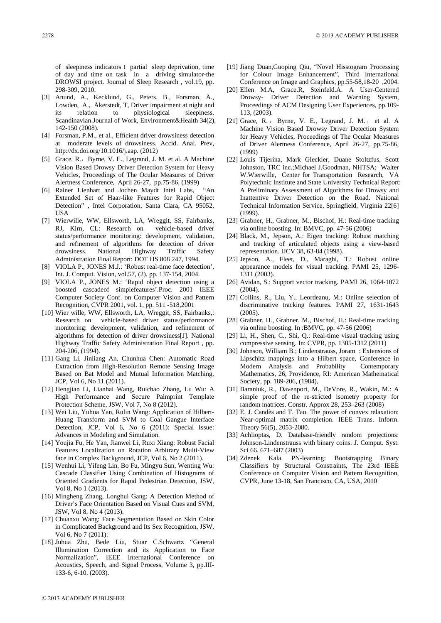of sleepiness indicators t partial sleep deprivation, time of day and time on task in a driving simulator-the DROWSI project. Journal of Sleep Research , vol.19, pp. 298-309, 2010.

- [3] Anund, A., Kecklund, G., Peters, B., Forsman, Å., Lowden, A., Åkerstedt, T, Driver impairment at night and its relation to physiological sleepiness. Scandinavian.Journal of Work, Environment&Health 34(2), 142-150 (2008).
- [4] Forsman, P.M., et al., Efficient driver drowsiness detection at moderate levels of drowsiness. Accid. Anal. Prev, http://dx.doi.org/10.1016/j.aap. (2012)
- [5] Grace, R., Byrne, V. E., Legrand, J. M. et al. A Machine Vision Based Drowsy Driver Detection System for Heavy Vehicles, Proceedings of The Ocular Measures of Driver Alertness Conference, April 26-27, pp.75-86, (1999)
- [6] Rainer Lienhart and Jochen Maydt Intel Labs, Extended Set of Haar-like Features for Rapid Object Detection" , Intel Corporation, Santa Clara, CA 95052, USA
- [7] Wierwille, WW, Ellsworth, LA, Wreggit, SS, Fairbanks, RJ, Kirn, CL: Research on vehicle-based driver status/performance monitoring: development, validation, and refinement of algorithms for detection of driver drowsiness. National Highway Traffic Safety Administration Final Report: DOT HS 808 247, 1994.
- [8] VIOLA P., JONES M.J.: 'Robust real-time face detection', Int. J. Comput. Vision, vol.57, (2), pp. 137-154, 2004.
- [9] VIOLA P., JONES M.: 'Rapid object detection using a boosted cascadeof simplefeatures'.Proc. 2001 IEEE Computer Society Conf. on Computer Vision and Pattern Recognition, CVPR 2001, vol. 1, pp. 511 -518,2001
- [10] Wier wille, WW, Ellsworth, LA, Wreggit, SS, Fairbanks,: Research on vehicle-based driver status/performance monitoring: development, validation, and refinement of algorithms for detection of driver drowsiness[J]. National Highway Traffic Safety Administration Final Report , pp. 204-206, (1994).
- [11] Gang Li, Jinliang An, Chunhua Chen: Automatic Road Extraction from High-Resolution Remote Sensing Image Based on Bat Model and Mutual Information Matching, JCP, Vol 6, No 11 (2011).
- [12] Hengjian Li, Lianhai Wang, Ruichao Zhang, Lu Wu: A High Performance and Secure Palmprint Template Protection Scheme, JSW, Vol 7, No 8 (2012).
- [13] Wei Liu, Yuhua Yan, Rulin Wang: Application of Hilbert-Huang Transform and SVM to Coal Gangue Interface Detection, JCP, Vol 6, No 6 (2011): Special Issue: Advances in Modeling and Simulation.
- [14] Youjia Fu, He Yan, Jianwei Li, Ruxi Xiang: Robust Facial Features Localization on Rotation Arbitrary Multi-View face in Complex Background, JCP, Vol 6, No 2 (2011).
- [15] Wenhui Li, Yifeng Lin, Bo Fu, Mingyu Sun, Wenting Wu: Cascade Classifier Using Combination of Histograms of Oriented Gradients for Rapid Pedestrian Detection, JSW, Vol 8, No 1 (2013).
- [16] Mingheng Zhang, Longhui Gang: A Detection Method of Driver's Face Orientation Based on Visual Cues and SVM, JSW, Vol 8, No 4 (2013).
- [17] Chuanxu Wang: Face Segmentation Based on Skin Color in Complicated Background and Its Sex Recognition, JSW, Vol 6, No 7 (2011):
- [18] Juhua Zhu, Bede Liu, Stuar C.Schwartz "General Illumination Correction and its Application to Face Normalization", IEEE International Conference on Acoustics, Speech, and Signal Process, Volume 3, pp.III-133-6, 6-10, (2003).
- [19] Jiang Duan,Guoping Qiu, "Novel Hisstogram Processing for Colour Image Enhancement", Third International Conference on Image and Graphics, pp.55-58,18-20 ,2004.
- [20] Ellen M.A, Grace.R, Steinfeld.A. A User-Centered Drowsy- Driver Detection and Warning System, Proceedings of ACM Designing User Experiences, pp.109- 113, (2003).
- [21] Grace, R., Byrne, V. E., Legrand, J. M., et al. A Machine Vision Based Drowsy Driver Detection System for Heavy Vehicles, Proceedings of The Ocular Measures of Driver Alertness Conference, April 26-27, pp.75-86, (1999)
- [22] Louis Tijerina, Mark Gleckler, Duane Stoltzfus, Scott Johnston, TRC inc.;Michael J.Goodman, NHTSA; Walter W.Wierwille, Center for Transportation Research, VA Polytechnic Institute and State University Technical Report: A Preliminary Assessment of Algorithms for Drowsy and Inattentive Driver Detection on the Road. National Technical Information Service, Springfield, Virginia 22[6] (1999).
- [23] Grabner, H., Grabner, M., Bischof, H.: Real-time tracking via online boosting. In: BMVC, pp. 47-56 (2006)
- [24] Black, M., Jepson, A.: Eigen tracking: Robust matching and tracking of articulated objects using a view-based representation. IJCV 38, 63-84 (1998).
- [25] Jepson, A., Fleet, D., Maraghi, T.: Robust online appearance models for visual tracking. PAMI 25, 1296- 1311 (2003).
- [26] Avidan, S.: Support vector tracking. PAMI 26, 1064-1072 (2004).
- [27] Collins, R., Liu, Y., Leordeanu, M.: Online selection of discriminative tracking features. PAMI 27, 1631-1643 (2005).
- [28] Grabner, H., Grabner, M., Bischof, H.: Real-time tracking via online boosting. In :BMVC, pp. 47-56 (2006)
- [29] Li, H., Shen, C., Shi, Q.: Real-time visual tracking using compressive sensing. In: CVPR, pp. 1305-1312 (2011)
- [30] Johnson, William B.; Lindenstrauss, Joram : Extensions of Lipschitz mappings into a Hilbert space, Conference in Modern Analysis and Probability Contemporary Mathematics, 26, Providence, RI: American Mathematical Society, pp. 189-206, (1984),
- [31] Baraniuk, R., Davenport, M., DeVore, R., Wakin, M.: A simple proof of the re-stricted isometry property for random matrices. Constr. Approx 28, 253–263 (2008)
- [32] E. J. Candès and T. Tao. The power of convex relaxation: Near-optimal matrix completion. IEEE Trans. Inform. Theory 56(5), 2053-2080.
- [33] Achlioptas, D. Database-friendly random projections: Johnson-Lindenstrauss with binary coins. J. Comput. Syst. Sci 66, 671–687 (2003)
- [34] Zdenek Kala. PN-learning: Bootstrapping Binary Classifiers by Structural Constraints, The 23rd IEEE Conference on Computer Vision and Pattern Recognition, CVPR, June 13-18, San Francisco, CA, USA, 2010